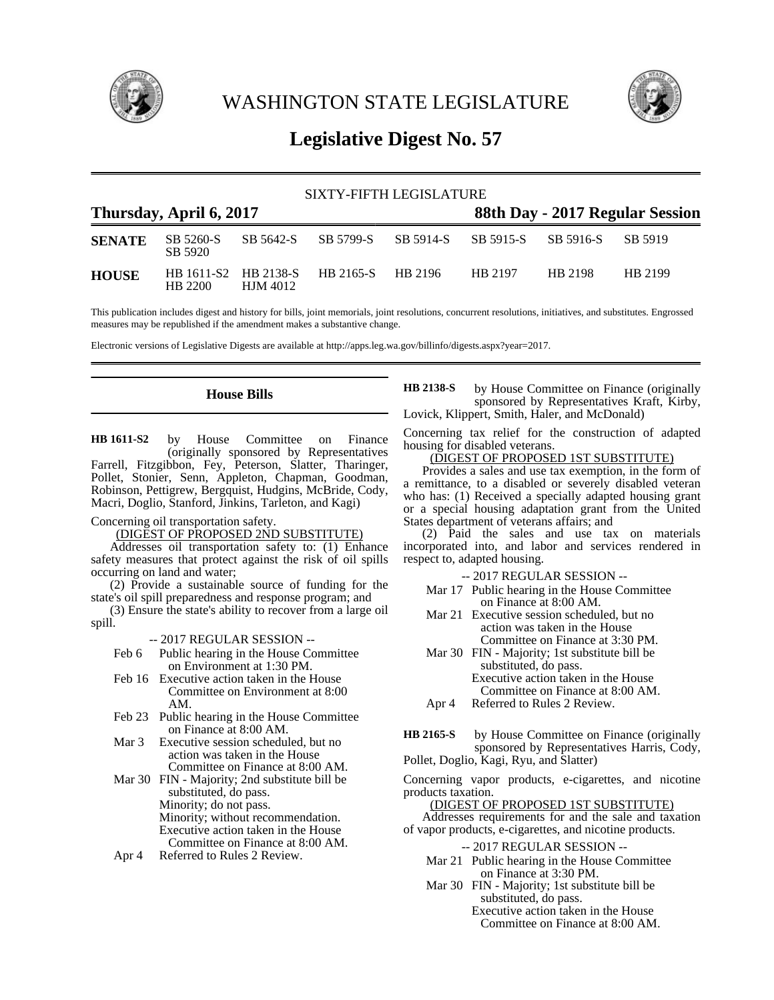

WASHINGTON STATE LEGISLATURE



# **Legislative Digest No. 57**

|                                                            | SIXTY-FIFTH LEGISLATURE |          |                                        |           |                     |         |         |  |
|------------------------------------------------------------|-------------------------|----------|----------------------------------------|-----------|---------------------|---------|---------|--|
| Thursday, April 6, 2017<br>88th Day - 2017 Regular Session |                         |          |                                        |           |                     |         |         |  |
| <b>SENATE</b>                                              | SB 5260-S<br>SB 5920    |          | SB 5642-S SB 5799-S                    | SB 5914-S | SB 5915-S SB 5916-S |         | SB 5919 |  |
| <b>HOUSE</b>                                               | HB 2200                 | HJM 4012 | HB 1611-S2 HB 2138-S HB 2165-S HB 2196 |           | HR 2197             | HB 2198 | HB 2199 |  |

This publication includes digest and history for bills, joint memorials, joint resolutions, concurrent resolutions, initiatives, and substitutes. Engrossed measures may be republished if the amendment makes a substantive change.

Electronic versions of Legislative Digests are available at http://apps.leg.wa.gov/billinfo/digests.aspx?year=2017.

# **House Bills**

by House Committee on Finance (originally sponsored by Representatives Farrell, Fitzgibbon, Fey, Peterson, Slatter, Tharinger, Pollet, Stonier, Senn, Appleton, Chapman, Goodman, Robinson, Pettigrew, Bergquist, Hudgins, McBride, Cody, Macri, Doglio, Stanford, Jinkins, Tarleton, and Kagi) **HB 1611-S2**

Concerning oil transportation safety.

(DIGEST OF PROPOSED 2ND SUBSTITUTE)

Addresses oil transportation safety to: (1) Enhance safety measures that protect against the risk of oil spills occurring on land and water;

(2) Provide a sustainable source of funding for the state's oil spill preparedness and response program; and

(3) Ensure the state's ability to recover from a large oil spill.

-- 2017 REGULAR SESSION --

- Feb 6 Public hearing in the House Committee on Environment at 1:30 PM.
- Feb 16 Executive action taken in the House Committee on Environment at 8:00 AM.
- Feb 23 Public hearing in the House Committee on Finance at 8:00 AM.
- Mar 3 Executive session scheduled, but no action was taken in the House Committee on Finance at 8:00 AM.

Mar 30 FIN - Majority; 2nd substitute bill be substituted, do pass. Minority; do not pass. Minority; without recommendation. Executive action taken in the House Committee on Finance at 8:00 AM.

Apr 4 Referred to Rules 2 Review.

by House Committee on Finance (originally sponsored by Representatives Kraft, Kirby, Lovick, Klippert, Smith, Haler, and McDonald) **HB 2138-S**

Concerning tax relief for the construction of adapted housing for disabled veterans.

(DIGEST OF PROPOSED 1ST SUBSTITUTE)

Provides a sales and use tax exemption, in the form of a remittance, to a disabled or severely disabled veteran who has: (1) Received a specially adapted housing grant or a special housing adaptation grant from the United States department of veterans affairs; and

(2) Paid the sales and use tax on materials incorporated into, and labor and services rendered in respect to, adapted housing.

-- 2017 REGULAR SESSION --

- Mar 17 Public hearing in the House Committee on Finance at 8:00 AM.
- Mar 21 Executive session scheduled, but no action was taken in the House Committee on Finance at 3:30 PM.
- Mar 30 FIN Majority; 1st substitute bill be substituted, do pass. Executive action taken in the House Committee on Finance at 8:00 AM.
- Apr 4 Referred to Rules 2 Review.
- by House Committee on Finance (originally sponsored by Representatives Harris, Cody, Pollet, Doglio, Kagi, Ryu, and Slatter) **HB 2165-S**

Concerning vapor products, e-cigarettes, and nicotine products taxation.

(DIGEST OF PROPOSED 1ST SUBSTITUTE)

Addresses requirements for and the sale and taxation of vapor products, e-cigarettes, and nicotine products.

-- 2017 REGULAR SESSION --

- Mar 21 Public hearing in the House Committee on Finance at 3:30 PM.
- Mar 30 FIN Majority; 1st substitute bill be substituted, do pass.
	- Executive action taken in the House Committee on Finance at 8:00 AM.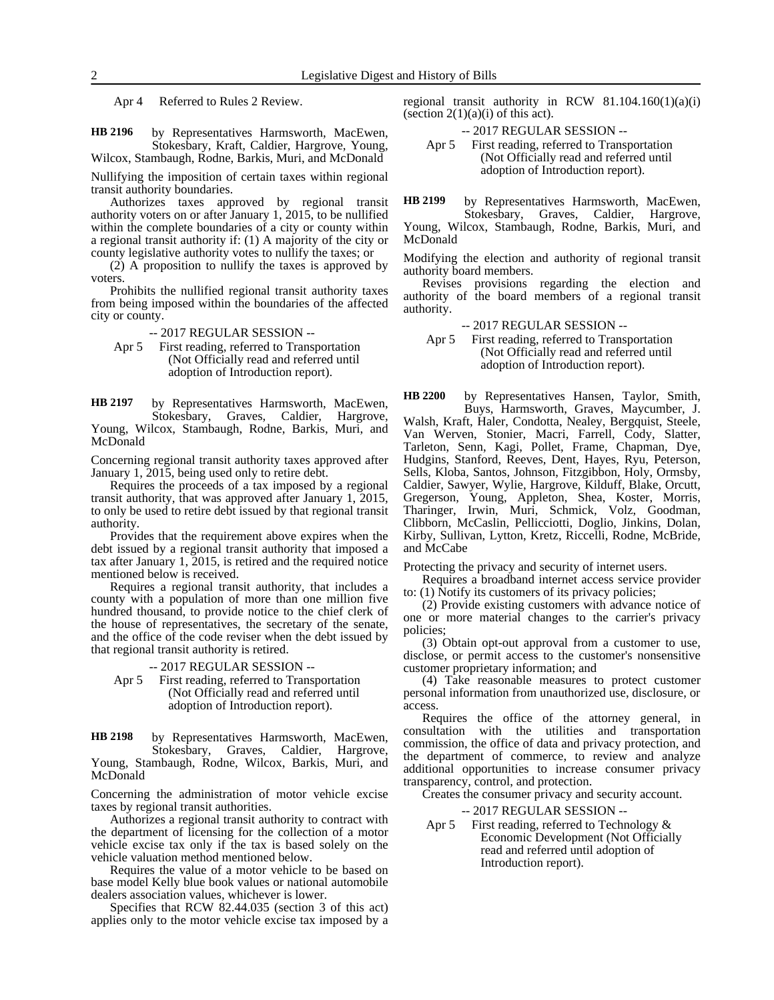Apr 4 Referred to Rules 2 Review.

by Representatives Harmsworth, MacEwen, Stokesbary, Kraft, Caldier, Hargrove, Young, Wilcox, Stambaugh, Rodne, Barkis, Muri, and McDonald **HB 2196**

Nullifying the imposition of certain taxes within regional transit authority boundaries.

Authorizes taxes approved by regional transit authority voters on or after January 1, 2015, to be nullified within the complete boundaries of a city or county within a regional transit authority if: (1) A majority of the city or county legislative authority votes to nullify the taxes; or

(2) A proposition to nullify the taxes is approved by voters.

Prohibits the nullified regional transit authority taxes from being imposed within the boundaries of the affected city or county.

-- 2017 REGULAR SESSION --

Apr 5 First reading, referred to Transportation (Not Officially read and referred until adoption of Introduction report).

by Representatives Harmsworth, MacEwen, Stokesbary, Graves, Caldier, Hargrove, Young, Wilcox, Stambaugh, Rodne, Barkis, Muri, and McDonald **HB 2197**

Concerning regional transit authority taxes approved after January 1, 2015, being used only to retire debt.

Requires the proceeds of a tax imposed by a regional transit authority, that was approved after January 1, 2015, to only be used to retire debt issued by that regional transit authority.

Provides that the requirement above expires when the debt issued by a regional transit authority that imposed a tax after January 1, 2015, is retired and the required notice mentioned below is received.

Requires a regional transit authority, that includes a county with a population of more than one million five hundred thousand, to provide notice to the chief clerk of the house of representatives, the secretary of the senate, and the office of the code reviser when the debt issued by that regional transit authority is retired.

### -- 2017 REGULAR SESSION --

Apr 5 First reading, referred to Transportation (Not Officially read and referred until adoption of Introduction report).

by Representatives Harmsworth, MacEwen, Stokesbary, Graves, Caldier, Hargrove, Young, Stambaugh, Rodne, Wilcox, Barkis, Muri, and McDonald **HB 2198**

Concerning the administration of motor vehicle excise taxes by regional transit authorities.

Authorizes a regional transit authority to contract with the department of licensing for the collection of a motor vehicle excise tax only if the tax is based solely on the vehicle valuation method mentioned below.

Requires the value of a motor vehicle to be based on base model Kelly blue book values or national automobile dealers association values, whichever is lower.

Specifies that RCW 82.44.035 (section 3 of this act) applies only to the motor vehicle excise tax imposed by a regional transit authority in RCW  $81.104.160(1)(a)(i)$ (section  $2(1)(a)(i)$  of this act).

-- 2017 REGULAR SESSION --

Apr 5 First reading, referred to Transportation (Not Officially read and referred until adoption of Introduction report).

by Representatives Harmsworth, MacEwen, **HB 2199**

Stokesbary, Graves, Caldier, Hargrove, Young, Wilcox, Stambaugh, Rodne, Barkis, Muri, and McDonald

Modifying the election and authority of regional transit authority board members.

Revises provisions regarding the election and authority of the board members of a regional transit authority.

-- 2017 REGULAR SESSION --

Apr 5 First reading, referred to Transportation (Not Officially read and referred until adoption of Introduction report).

by Representatives Hansen, Taylor, Smith, Buys, Harmsworth, Graves, Maycumber, J. Walsh, Kraft, Haler, Condotta, Nealey, Bergquist, Steele, Van Werven, Stonier, Macri, Farrell, Cody, Slatter, Tarleton, Senn, Kagi, Pollet, Frame, Chapman, Dye, Hudgins, Stanford, Reeves, Dent, Hayes, Ryu, Peterson, Sells, Kloba, Santos, Johnson, Fitzgibbon, Holy, Ormsby, Caldier, Sawyer, Wylie, Hargrove, Kilduff, Blake, Orcutt, Gregerson, Young, Appleton, Shea, Koster, Morris, Tharinger, Irwin, Muri, Schmick, Volz, Goodman, Clibborn, McCaslin, Pellicciotti, Doglio, Jinkins, Dolan, Kirby, Sullivan, Lytton, Kretz, Riccelli, Rodne, McBride, and McCabe **HB 2200**

Protecting the privacy and security of internet users.

Requires a broadband internet access service provider to: (1) Notify its customers of its privacy policies;

(2) Provide existing customers with advance notice of one or more material changes to the carrier's privacy policies;

(3) Obtain opt-out approval from a customer to use, disclose, or permit access to the customer's nonsensitive customer proprietary information; and

(4) Take reasonable measures to protect customer personal information from unauthorized use, disclosure, or access.

Requires the office of the attorney general, in consultation with the utilities and transportation commission, the office of data and privacy protection, and the department of commerce, to review and analyze additional opportunities to increase consumer privacy transparency, control, and protection.

Creates the consumer privacy and security account.

-- 2017 REGULAR SESSION --

Apr 5 First reading, referred to Technology & Economic Development (Not Officially read and referred until adoption of Introduction report).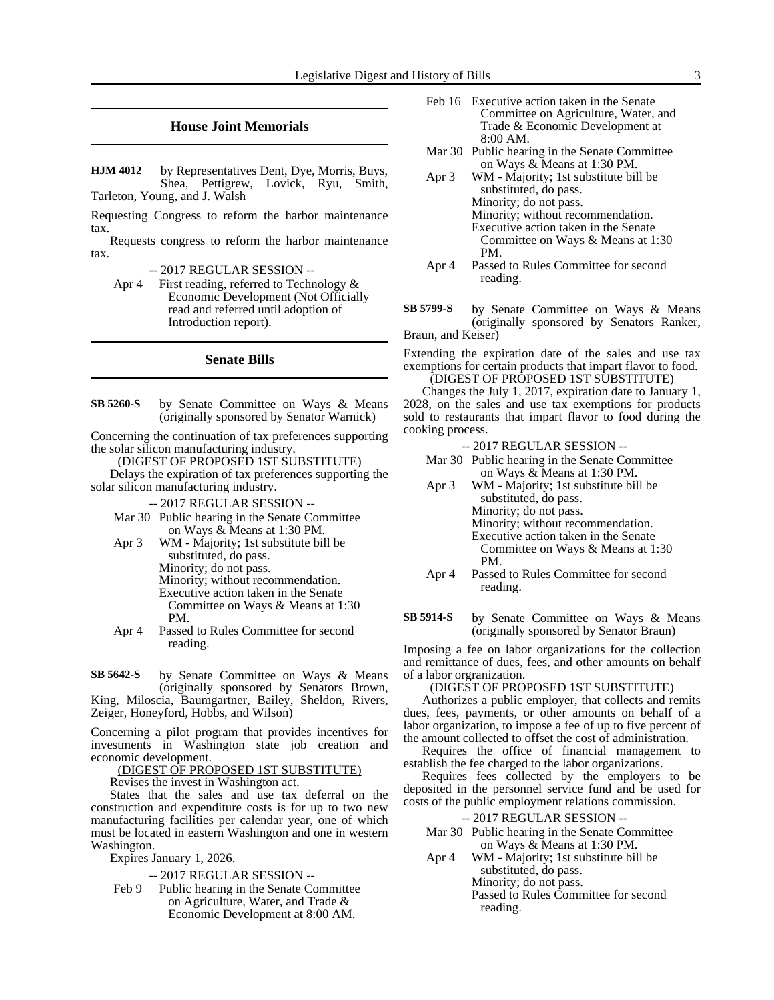# **House Joint Memorials**

by Representatives Dent, Dye, Morris, Buys, Shea, Pettigrew, Lovick, Ryu, Smith, Tarleton, Young, and J. Walsh **HJM 4012**

Requesting Congress to reform the harbor maintenance tax.

Requests congress to reform the harbor maintenance tax.

-- 2017 REGULAR SESSION --

Apr 4 First reading, referred to Technology & Economic Development (Not Officially read and referred until adoption of Introduction report).

# **Senate Bills**

by Senate Committee on Ways & Means (originally sponsored by Senator Warnick) **SB 5260-S**

Concerning the continuation of tax preferences supporting the solar silicon manufacturing industry.

(DIGEST OF PROPOSED 1ST SUBSTITUTE)

Delays the expiration of tax preferences supporting the solar silicon manufacturing industry.

-- 2017 REGULAR SESSION --

- Mar 30 Public hearing in the Senate Committee on Ways & Means at 1:30 PM.
- Apr 3 WM Majority; 1st substitute bill be substituted, do pass. Minority; do not pass. Minority; without recommendation. Executive action taken in the Senate Committee on Ways & Means at 1:30

PM.

Apr 4 Passed to Rules Committee for second reading.

by Senate Committee on Ways & Means (originally sponsored by Senators Brown, King, Miloscia, Baumgartner, Bailey, Sheldon, Rivers, Zeiger, Honeyford, Hobbs, and Wilson) **SB 5642-S**

Concerning a pilot program that provides incentives for investments in Washington state job creation and economic development.

(DIGEST OF PROPOSED 1ST SUBSTITUTE)

Revises the invest in Washington act.

States that the sales and use tax deferral on the construction and expenditure costs is for up to two new manufacturing facilities per calendar year, one of which must be located in eastern Washington and one in western Washington.

Expires January 1, 2026.

-- 2017 REGULAR SESSION --

Feb 9 Public hearing in the Senate Committee on Agriculture, Water, and Trade & Economic Development at 8:00 AM.

- Feb 16 Executive action taken in the Senate Committee on Agriculture, Water, and Trade & Economic Development at 8:00 AM.
- Mar 30 Public hearing in the Senate Committee on Ways & Means at 1:30 PM.
- Apr 3 WM Majority; 1st substitute bill be substituted, do pass. Minority; do not pass. Minority; without recommendation. Executive action taken in the Senate Committee on Ways & Means at 1:30 PM.
- Apr 4 Passed to Rules Committee for second reading.
- by Senate Committee on Ways & Means (originally sponsored by Senators Ranker, Braun, and Keiser) **SB 5799-S**

Extending the expiration date of the sales and use tax exemptions for certain products that impart flavor to food. (DIGEST OF PROPOSED 1ST SUBSTITUTE)

Changes the July 1, 2017, expiration date to January 1, 2028, on the sales and use tax exemptions for products sold to restaurants that impart flavor to food during the cooking process.

- -- 2017 REGULAR SESSION --
- Mar 30 Public hearing in the Senate Committee on Ways & Means at 1:30 PM.
- Apr 3 WM Majority; 1st substitute bill be substituted, do pass. Minority; do not pass. Minority; without recommendation. Executive action taken in the Senate Committee on Ways & Means at 1:30 PM.
- Apr 4 Passed to Rules Committee for second reading.
- by Senate Committee on Ways & Means (originally sponsored by Senator Braun) **SB 5914-S**

Imposing a fee on labor organizations for the collection and remittance of dues, fees, and other amounts on behalf of a labor orgranization.

# (DIGEST OF PROPOSED 1ST SUBSTITUTE)

Authorizes a public employer, that collects and remits dues, fees, payments, or other amounts on behalf of a labor organization, to impose a fee of up to five percent of the amount collected to offset the cost of administration.

Requires the office of financial management to establish the fee charged to the labor organizations.

Requires fees collected by the employers to be deposited in the personnel service fund and be used for costs of the public employment relations commission.

# -- 2017 REGULAR SESSION --

Mar 30 Public hearing in the Senate Committee on Ways & Means at 1:30 PM.

Apr 4 WM - Majority; 1st substitute bill be substituted, do pass. Minority; do not pass. Passed to Rules Committee for second reading.